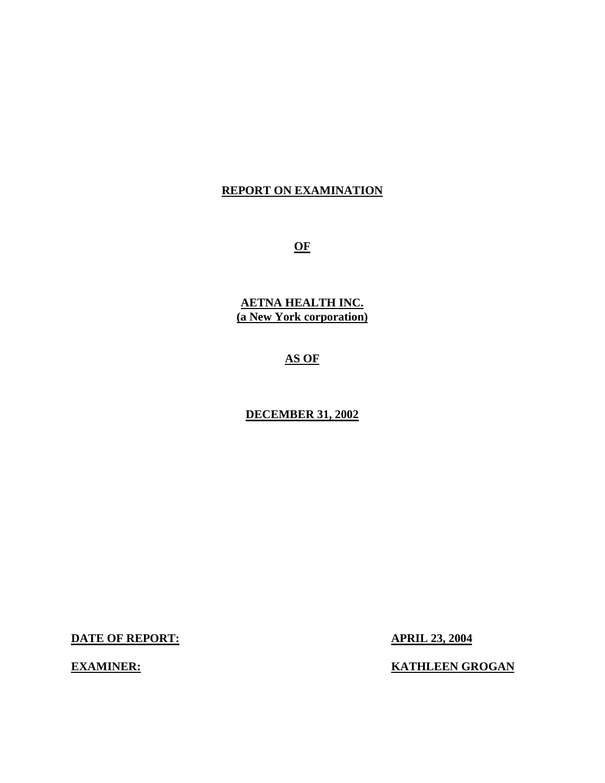## **REPORT ON EXAMINATION**

**OF** 

**AETNA HEALTH INC. (a New York corporation)** 

# **AS OF**

## **DECEMBER 31, 2002**

**DATE OF REPORT: APRIL 23, 2004** 

**EXAMINER:** KATHLEEN GROGAN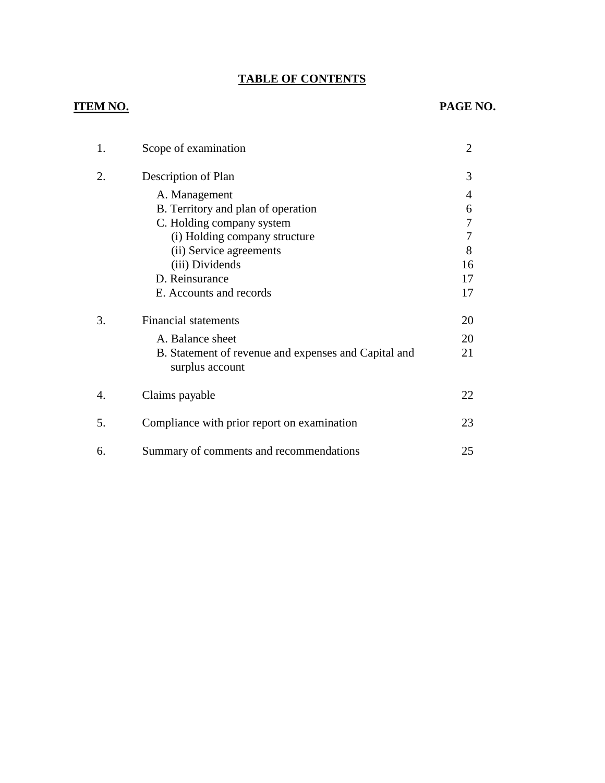# **TABLE OF CONTENTS**

| 1. | Scope of examination                                                    | 2  |
|----|-------------------------------------------------------------------------|----|
| 2. | Description of Plan                                                     | 3  |
|    | A. Management                                                           | 4  |
|    | B. Territory and plan of operation                                      | 6  |
|    | C. Holding company system                                               | 7  |
|    | (i) Holding company structure                                           | 7  |
|    | (ii) Service agreements                                                 | 8  |
|    | (iii) Dividends                                                         | 16 |
|    | D. Reinsurance                                                          | 17 |
|    | E. Accounts and records                                                 | 17 |
| 3. | <b>Financial statements</b>                                             | 20 |
|    | A. Balance sheet                                                        | 20 |
|    | B. Statement of revenue and expenses and Capital and<br>surplus account | 21 |
| 4. | Claims payable                                                          | 22 |
| 5. | Compliance with prior report on examination                             | 23 |
| 6. | Summary of comments and recommendations                                 | 25 |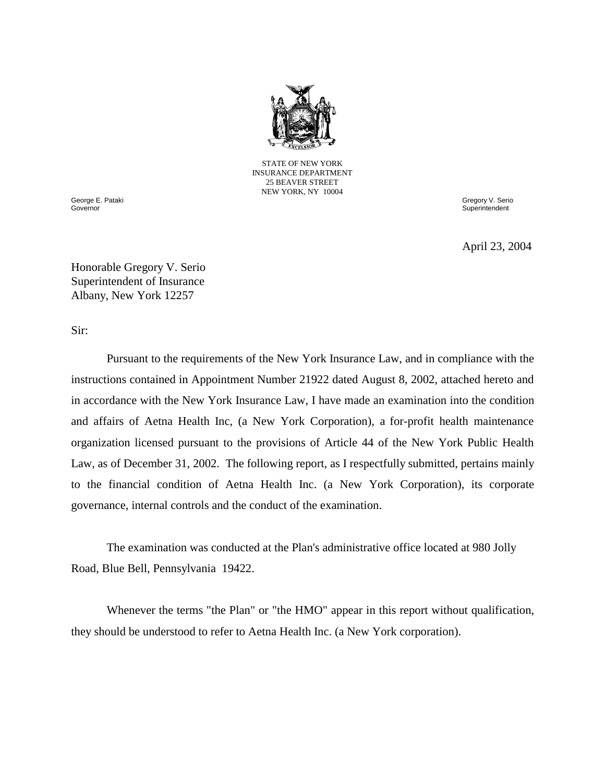

STATE OF NEW YORK INSURANCE DEPARTMENT 25 BEAVER STREET NEW YORK, NY 10004

George E. Pataki **Governor** 

Gregory V. Serio **Superintendent** 

April 23, 2004

Honorable Gregory V. Serio Superintendent of Insurance Albany, New York 12257

Sir:

 Pursuant to the requirements of the New York Insurance Law, and in compliance with the instructions contained in Appointment Number 21922 dated August 8, 2002, attached hereto and in accordance with the New York Insurance Law, I have made an examination into the condition and affairs of Aetna Health Inc, (a New York Corporation), a for-profit health maintenance organization licensed pursuant to the provisions of Article 44 of the New York Public Health to the financial condition of Aetna Health Inc. (a New York Corporation), its corporate Law, as of December 31, 2002. The following report, as I respectfully submitted, pertains mainly governance, internal controls and the conduct of the examination.

The examination was conducted at the Plan's administrative office located at 980 Jolly Road, Blue Bell, Pennsylvania 19422.

 Whenever the terms "the Plan" or "the HMO" appear in this report without qualification, they should be understood to refer to Aetna Health Inc. (a New York corporation).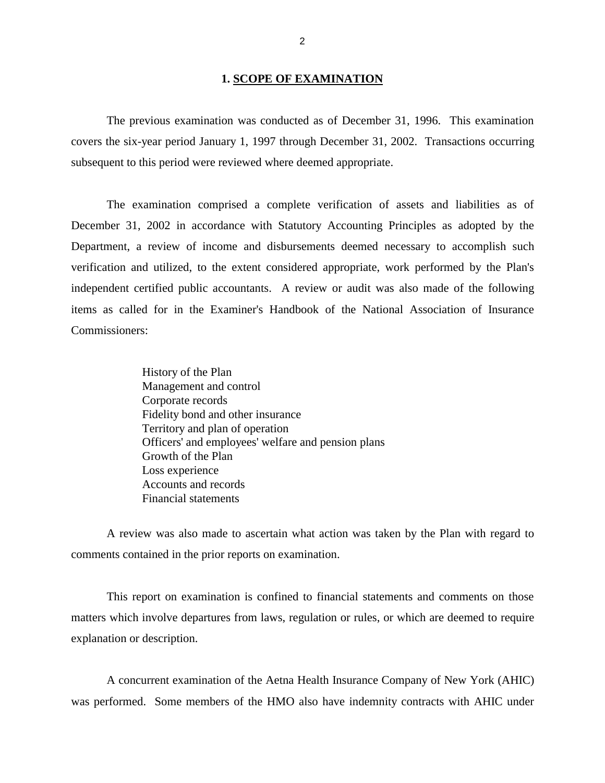#### **1. SCOPE OF EXAMINATION**

<span id="page-3-0"></span> The previous examination was conducted as of December 31, 1996. This examination covers the six-year period January 1, 1997 through December 31, 2002. Transactions occurring subsequent to this period were reviewed where deemed appropriate.

 The examination comprised a complete verification of assets and liabilities as of December 31, 2002 in accordance with Statutory Accounting Principles as adopted by the Department, a review of income and disbursements deemed necessary to accomplish such verification and utilized, to the extent considered appropriate, work performed by the Plan's independent certified public accountants. A review or audit was also made of the following items as called for in the Examiner's Handbook of the National Association of Insurance Commissioners:

> History of the Plan Management and control Corporate records Fidelity bond and other insurance Territory and plan of operation Officers' and employees' welfare and pension plans Growth of the Plan Loss experience Accounts and records Financial statements

 A review was also made to ascertain what action was taken by the Plan with regard to comments contained in the prior reports on examination.

 This report on examination is confined to financial statements and comments on those matters which involve departures from laws, regulation or rules, or which are deemed to require explanation or description.

 A concurrent examination of the Aetna Health Insurance Company of New York (AHIC) was performed. Some members of the HMO also have indemnity contracts with AHIC under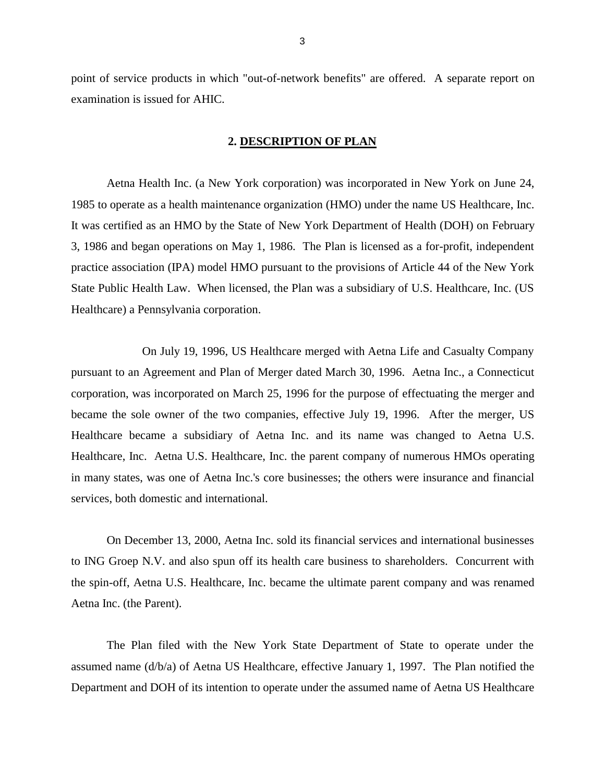<span id="page-4-0"></span> point of service products in which "out-of-network benefits" are offered. A separate report on examination is issued for AHIC.

## **2. DESCRIPTION OF PLAN**

 Aetna Health Inc. (a New York corporation) was incorporated in New York on June 24, 1985 to operate as a health maintenance organization (HMO) under the name US Healthcare, Inc. It was certified as an HMO by the State of New York Department of Health (DOH) on February 3, 1986 and began operations on May 1, 1986. The Plan is licensed as a for-profit, independent practice association (IPA) model HMO pursuant to the provisions of Article 44 of the New York State Public Health Law. When licensed, the Plan was a subsidiary of U.S. Healthcare, Inc. (US Healthcare) a Pennsylvania corporation.

 On July 19, 1996, US Healthcare merged with Aetna Life and Casualty Company pursuant to an Agreement and Plan of Merger dated March 30, 1996. Aetna Inc., a Connecticut corporation, was incorporated on March 25, 1996 for the purpose of effectuating the merger and became the sole owner of the two companies, effective July 19, 1996. After the merger, US Healthcare became a subsidiary of Aetna Inc. and its name was changed to Aetna U.S. Healthcare, Inc. Aetna U.S. Healthcare, Inc. the parent company of numerous HMOs operating in many states, was one of Aetna Inc.'s core businesses; the others were insurance and financial services, both domestic and international.

 On December 13, 2000, Aetna Inc. sold its financial services and international businesses to ING Groep N.V. and also spun off its health care business to shareholders. Concurrent with the spin-off, Aetna U.S. Healthcare, Inc. became the ultimate parent company and was renamed Aetna Inc. (the Parent).

 The Plan filed with the New York State Department of State to operate under the assumed name (d/b/a) of Aetna US Healthcare, effective January 1, 1997. The Plan notified the Department and DOH of its intention to operate under the assumed name of Aetna US Healthcare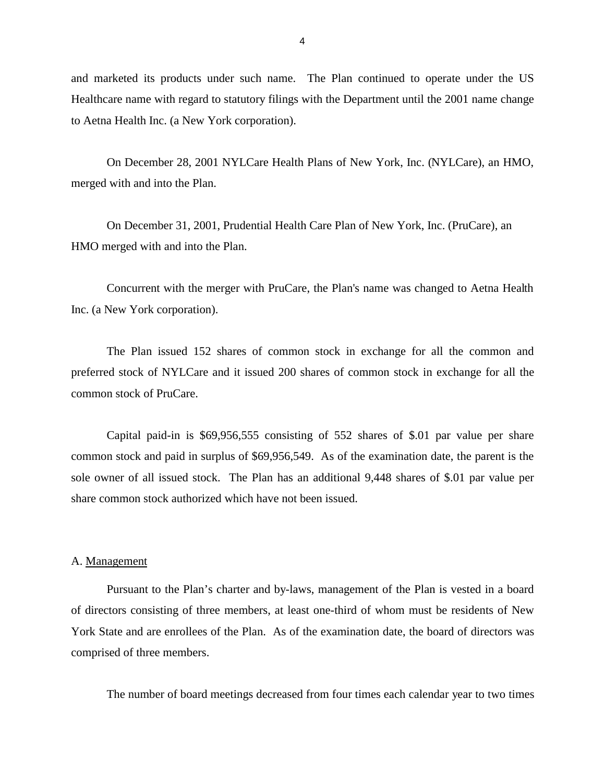<span id="page-5-0"></span> and marketed its products under such name. The Plan continued to operate under the US Healthcare name with regard to statutory filings with the Department until the 2001 name change to Aetna Health Inc. (a New York corporation).

 On December 28, 2001 NYLCare Health Plans of New York, Inc. (NYLCare), an HMO, merged with and into the Plan.

On December 31, 2001, Prudential Health Care Plan of New York, Inc. (PruCare), an HMO merged with and into the Plan.

 Concurrent with the merger with PruCare, the Plan's name was changed to Aetna Health Inc. (a New York corporation).

 The Plan issued 152 shares of common stock in exchange for all the common and preferred stock of NYLCare and it issued 200 shares of common stock in exchange for all the common stock of PruCare.

 Capital paid-in is \$69,956,555 consisting of 552 shares of \$.01 par value per share common stock and paid in surplus of \$69,956,549. As of the examination date, the parent is the sole owner of all issued stock. The Plan has an additional 9,448 shares of \$.01 par value per share common stock authorized which have not been issued.

#### A. Management

 Pursuant to the Plan's charter and by-laws, management of the Plan is vested in a board of directors consisting of three members, at least one-third of whom must be residents of New York State and are enrollees of the Plan. As of the examination date, the board of directors was comprised of three members.

The number of board meetings decreased from four times each calendar year to two times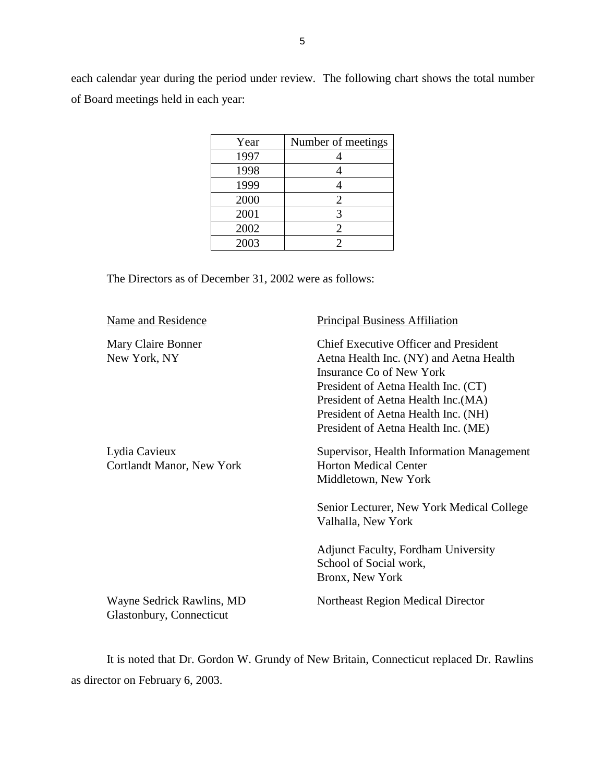each calendar year during the period under review. The following chart shows the total number of Board meetings held in each year:

| Year | Number of meetings |
|------|--------------------|
| 1997 |                    |
| 1998 |                    |
| 1999 |                    |
| 2000 | $\overline{2}$     |
| 2001 | 3                  |
| 2002 | $\overline{2}$     |
| 2003 | $\mathfrak{D}$     |

The Directors as of December 31, 2002 were as follows:

| Name and Residence                                    | <b>Principal Business Affiliation</b>                                                                                                                                                                                                                                           |
|-------------------------------------------------------|---------------------------------------------------------------------------------------------------------------------------------------------------------------------------------------------------------------------------------------------------------------------------------|
| Mary Claire Bonner<br>New York, NY                    | <b>Chief Executive Officer and President</b><br>Aetna Health Inc. (NY) and Aetna Health<br>Insurance Co of New York<br>President of Aetna Health Inc. (CT)<br>President of Aetna Health Inc. (MA)<br>President of Aetna Health Inc. (NH)<br>President of Aetna Health Inc. (ME) |
| Lydia Cavieux<br>Cortlandt Manor, New York            | Supervisor, Health Information Management<br><b>Horton Medical Center</b><br>Middletown, New York<br>Senior Lecturer, New York Medical College<br>Valhalla, New York<br><b>Adjunct Faculty, Fordham University</b><br>School of Social work,<br>Bronx, New York                 |
| Wayne Sedrick Rawlins, MD<br>Glastonbury, Connecticut | Northeast Region Medical Director                                                                                                                                                                                                                                               |

 It is noted that Dr. Gordon W. Grundy of New Britain, Connecticut replaced Dr. Rawlins as director on February 6, 2003.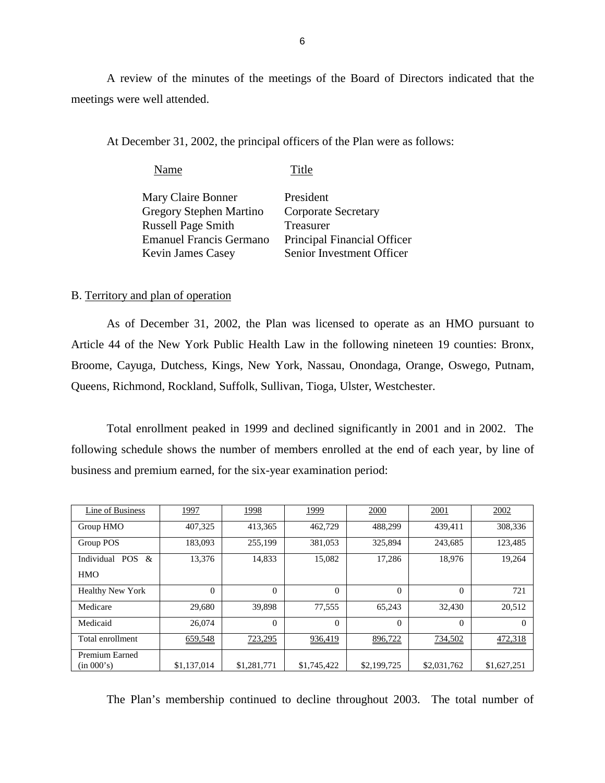A review of the minutes of the meetings of the Board of Directors indicated that the meetings were well attended.

At December 31, 2002, the principal officers of the Plan were as follows:

| Name                           | Title                       |
|--------------------------------|-----------------------------|
| Mary Claire Bonner             | President                   |
| Gregory Stephen Martino        | <b>Corporate Secretary</b>  |
| <b>Russell Page Smith</b>      | Treasurer                   |
| <b>Emanuel Francis Germano</b> | Principal Financial Officer |
| <b>Kevin James Casey</b>       | Senior Investment Officer   |

## B. Territory and plan of operation

 As of December 31, 2002, the Plan was licensed to operate as an HMO pursuant to Article 44 of the New York Public Health Law in the following nineteen 19 counties: Bronx, Broome, Cayuga, Dutchess, Kings, New York, Nassau, Onondaga, Orange, Oswego, Putnam, Queens, Richmond, Rockland, Suffolk, Sullivan, Tioga, Ulster, Westchester.

 Total enrollment peaked in 1999 and declined significantly in 2001 and in 2002. The following schedule shows the number of members enrolled at the end of each year, by line of business and premium earned, for the six-year examination period:

| Line of Business             | 1997        | 1998        | 1999        | 2000        | 2001        | 2002        |
|------------------------------|-------------|-------------|-------------|-------------|-------------|-------------|
| Group HMO                    | 407,325     | 413,365     | 462,729     | 488.299     | 439,411     | 308,336     |
| Group POS                    | 183,093     | 255,199     | 381,053     | 325,894     | 243.685     | 123.485     |
| POS $\&$<br>Individual       | 13,376      | 14,833      | 15,082      | 17,286      | 18,976      | 19,264      |
| <b>HMO</b>                   |             |             |             |             |             |             |
| <b>Healthy New York</b>      | $\theta$    | $\theta$    | $\Omega$    | $\Omega$    | $\Omega$    | 721         |
| Medicare                     | 29,680      | 39,898      | 77,555      | 65.243      | 32,430      | 20,512      |
| Medicaid                     | 26,074      | $\Omega$    | $\Omega$    | $\Omega$    | $\Omega$    | $^{()}$     |
| Total enrollment             | 659,548     | 723,295     | 936,419     | 896,722     | 734,502     | 472,318     |
| Premium Earned<br>(in 000's) | \$1,137,014 | \$1,281,771 | \$1,745,422 | \$2,199,725 | \$2,031,762 | \$1,627,251 |

The Plan's membership continued to decline throughout 2003. The total number of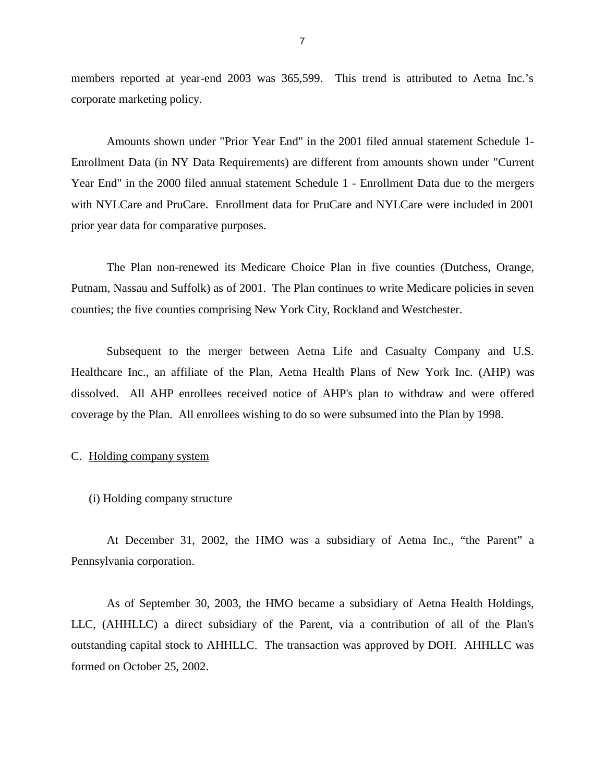<span id="page-8-0"></span> members reported at year-end 2003 was 365,599. This trend is attributed to Aetna Inc.'s corporate marketing policy.

 Amounts shown under "Prior Year End" in the 2001 filed annual statement Schedule 1- Enrollment Data (in NY Data Requirements) are different from amounts shown under "Current Year End" in the 2000 filed annual statement Schedule 1 - Enrollment Data due to the mergers with NYLCare and PruCare. Enrollment data for PruCare and NYLCare were included in 2001 prior year data for comparative purposes.

 The Plan non-renewed its Medicare Choice Plan in five counties (Dutchess, Orange, Putnam, Nassau and Suffolk) as of 2001. The Plan continues to write Medicare policies in seven counties; the five counties comprising New York City, Rockland and Westchester.

 Subsequent to the merger between Aetna Life and Casualty Company and U.S. Healthcare Inc., an affiliate of the Plan, Aetna Health Plans of New York Inc. (AHP) was dissolved. All AHP enrollees received notice of AHP's plan to withdraw and were offered coverage by the Plan. All enrollees wishing to do so were subsumed into the Plan by 1998.

### C. Holding company system

(i) Holding company structure

 At December 31, 2002, the HMO was a subsidiary of Aetna Inc., "the Parent" a Pennsylvania corporation.

 As of September 30, 2003, the HMO became a subsidiary of Aetna Health Holdings, LLC, (AHHLLC) a direct subsidiary of the Parent, via a contribution of all of the Plan's outstanding capital stock to AHHLLC. The transaction was approved by DOH. AHHLLC was formed on October 25, 2002.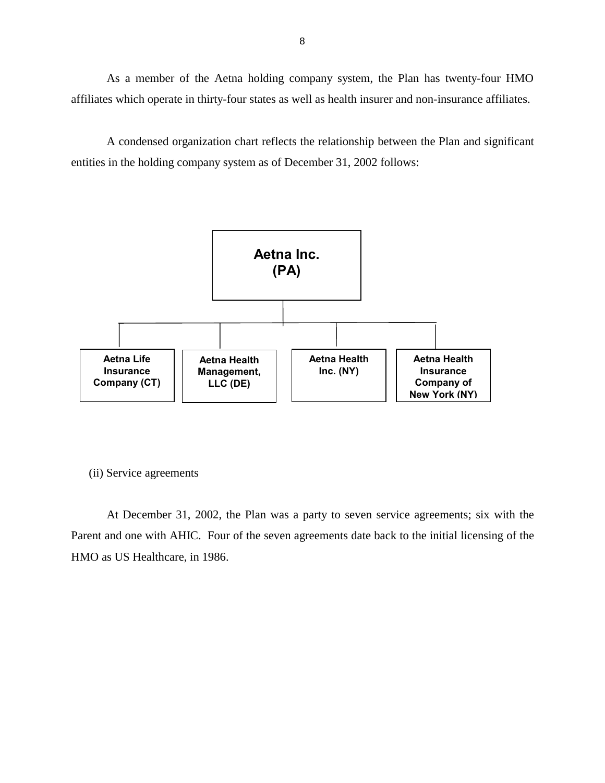<span id="page-9-0"></span> As a member of the Aetna holding company system, the Plan has twenty-four HMO affiliates which operate in thirty-four states as well as health insurer and non-insurance affiliates.

 A condensed organization chart reflects the relationship between the Plan and significant entities in the holding company system as of December 31, 2002 follows:



(ii) Service agreements

 At December 31, 2002, the Plan was a party to seven service agreements; six with the Parent and one with AHIC. Four of the seven agreements date back to the initial licensing of the HMO as US Healthcare, in 1986.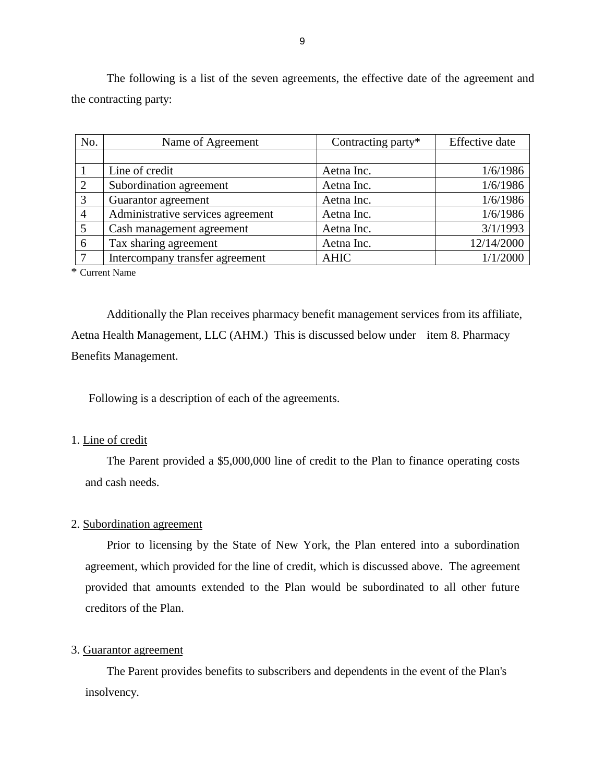The following is a list of the seven agreements, the effective date of the agreement and the contracting party:

| No.            | Name of Agreement                 | Contracting party* | Effective date |
|----------------|-----------------------------------|--------------------|----------------|
|                |                                   |                    |                |
|                | Line of credit                    | Aetna Inc.         | 1/6/1986       |
| 2              | Subordination agreement           | Aetna Inc.         | 1/6/1986       |
| 3              | Guarantor agreement               | Aetna Inc.         | 1/6/1986       |
| $\overline{4}$ | Administrative services agreement | Aetna Inc.         | 1/6/1986       |
| 5              | Cash management agreement         | Aetna Inc.         | 3/1/1993       |
| 6              | Tax sharing agreement             | Aetna Inc.         | 12/14/2000     |
|                | Intercompany transfer agreement   | <b>AHIC</b>        | 1/1/2000       |

\* Current Name

Additionally the Plan receives pharmacy benefit management services from its affiliate, Aetna Health Management, LLC (AHM.) This is discussed below under item 8. Pharmacy Benefits Management.

Following is a description of each of the agreements.

## 1. Line of credit

 The Parent provided a \$5,000,000 line of credit to the Plan to finance operating costs and cash needs.

## 2. Subordination agreement

 Prior to licensing by the State of New York, the Plan entered into a subordination agreement, which provided for the line of credit, which is discussed above. The agreement provided that amounts extended to the Plan would be subordinated to all other future creditors of the Plan.

### 3. Guarantor agreement

The Parent provides benefits to subscribers and dependents in the event of the Plan's insolvency.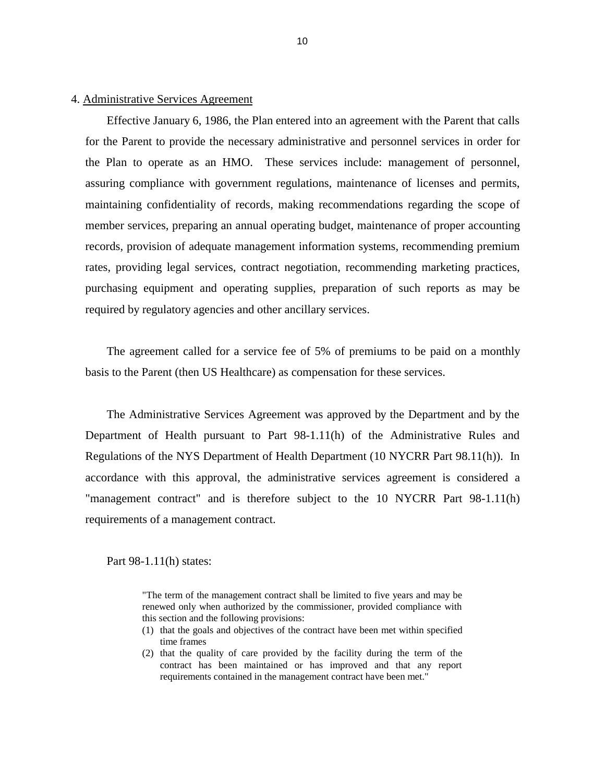## 4. Administrative Services Agreement

 Effective January 6, 1986, the Plan entered into an agreement with the Parent that calls for the Parent to provide the necessary administrative and personnel services in order for the Plan to operate as an HMO. These services include: management of personnel, assuring compliance with government regulations, maintenance of licenses and permits, maintaining confidentiality of records, making recommendations regarding the scope of member services, preparing an annual operating budget, maintenance of proper accounting records, provision of adequate management information systems, recommending premium rates, providing legal services, contract negotiation, recommending marketing practices, purchasing equipment and operating supplies, preparation of such reports as may be required by regulatory agencies and other ancillary services.

 The agreement called for a service fee of 5% of premiums to be paid on a monthly basis to the Parent (then US Healthcare) as compensation for these services.

 The Administrative Services Agreement was approved by the Department and by the Department of Health pursuant to Part 98-1.11(h) of the Administrative Rules and Regulations of the NYS Department of Health Department (10 NYCRR Part 98.11(h)). In accordance with this approval, the administrative services agreement is considered a "management contract" and is therefore subject to the 10 NYCRR Part 98-1.11(h) requirements of a management contract.

Part 98-1.11(h) states:

 "The term of the management contract shall be limited to five years and may be renewed only when authorized by the commissioner, provided compliance with this section and the following provisions:

- (1) that the goals and objectives of the contract have been met within specified time frames
- (2) that the quality of care provided by the facility during the term of the contract has been maintained or has improved and that any report requirements contained in the management contract have been met."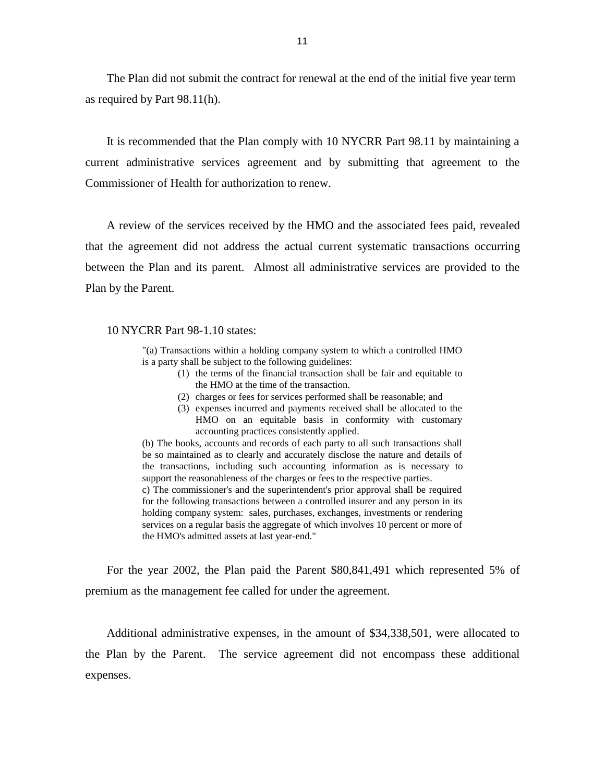The Plan did not submit the contract for renewal at the end of the initial five year term as required by Part 98.11(h).

 It is recommended that the Plan comply with 10 NYCRR Part 98.11 by maintaining a current administrative services agreement and by submitting that agreement to the Commissioner of Health for authorization to renew.

 A review of the services received by the HMO and the associated fees paid, revealed that the agreement did not address the actual current systematic transactions occurring between the Plan and its parent. Almost all administrative services are provided to the Plan by the Parent.

#### 10 NYCRR Part 98-1.10 states:

 "(a) Transactions within a holding company system to which a controlled HMO is a party shall be subject to the following guidelines:

- (1) the terms of the financial transaction shall be fair and equitable to the HMO at the time of the transaction.
- (2) charges or fees for services performed shall be reasonable; and
- (3) expenses incurred and payments received shall be allocated to the HMO on an equitable basis in conformity with customary accounting practices consistently applied.

 (b) The books, accounts and records of each party to all such transactions shall be so maintained as to clearly and accurately disclose the nature and details of the transactions, including such accounting information as is necessary to support the reasonableness of the charges or fees to the respective parties.

 c) The commissioner's and the superintendent's prior approval shall be required for the following transactions between a controlled insurer and any person in its holding company system: sales, purchases, exchanges, investments or rendering services on a regular basis the aggregate of which involves 10 percent or more of the HMO's admitted assets at last year-end."

 For the year 2002, the Plan paid the Parent \$80,841,491 which represented 5% of premium as the management fee called for under the agreement.

 Additional administrative expenses, in the amount of \$34,338,501, were allocated to the Plan by the Parent. The service agreement did not encompass these additional expenses.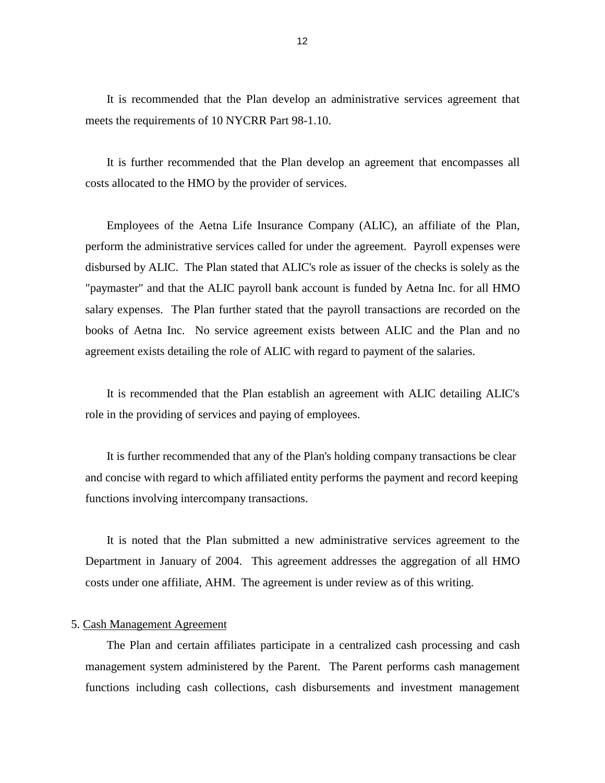It is recommended that the Plan develop an administrative services agreement that meets the requirements of 10 NYCRR Part 98-1.10.

 It is further recommended that the Plan develop an agreement that encompasses all costs allocated to the HMO by the provider of services.

 Employees of the Aetna Life Insurance Company (ALIC), an affiliate of the Plan, perform the administrative services called for under the agreement. Payroll expenses were disbursed by ALIC. The Plan stated that ALIC's role as issuer of the checks is solely as the "paymaster" and that the ALIC payroll bank account is funded by Aetna Inc. for all HMO salary expenses. The Plan further stated that the payroll transactions are recorded on the books of Aetna Inc. No service agreement exists between ALIC and the Plan and no agreement exists detailing the role of ALIC with regard to payment of the salaries.

 It is recommended that the Plan establish an agreement with ALIC detailing ALIC's role in the providing of services and paying of employees.

It is further recommended that any of the Plan's holding company transactions be clear and concise with regard to which affiliated entity performs the payment and record keeping functions involving intercompany transactions.

 It is noted that the Plan submitted a new administrative services agreement to the Department in January of 2004. This agreement addresses the aggregation of all HMO costs under one affiliate, AHM. The agreement is under review as of this writing.

#### 5. Cash Management Agreement

 The Plan and certain affiliates participate in a centralized cash processing and cash management system administered by the Parent. The Parent performs cash management functions including cash collections, cash disbursements and investment management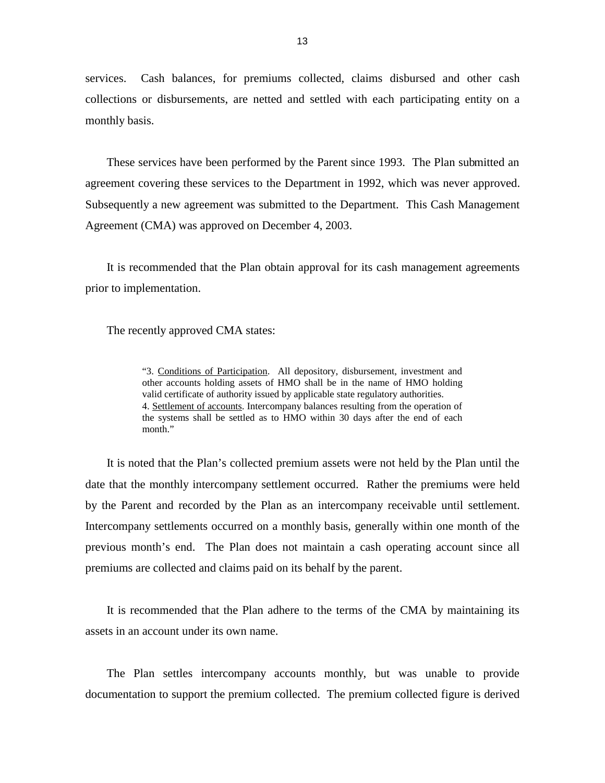services. Cash balances, for premiums collected, claims disbursed and other cash collections or disbursements, are netted and settled with each participating entity on a monthly basis.

 These services have been performed by the Parent since 1993. The Plan submitted an agreement covering these services to the Department in 1992, which was never approved. Subsequently a new agreement was submitted to the Department. This Cash Management Agreement (CMA) was approved on December 4, 2003.

 It is recommended that the Plan obtain approval for its cash management agreements prior to implementation.

The recently approved CMA states:

"3. Conditions of Participation. All depository, disbursement, investment and other accounts holding assets of HMO shall be in the name of HMO holding 4. Settlement of accounts. Intercompany balances resulting from the operation of the systems shall be settled as to HMO within 30 days after the end of each valid certificate of authority issued by applicable state regulatory authorities. month"

 It is noted that the Plan's collected premium assets were not held by the Plan until the date that the monthly intercompany settlement occurred. Rather the premiums were held by the Parent and recorded by the Plan as an intercompany receivable until settlement. Intercompany settlements occurred on a monthly basis, generally within one month of the previous month's end. The Plan does not maintain a cash operating account since all premiums are collected and claims paid on its behalf by the parent.

 It is recommended that the Plan adhere to the terms of the CMA by maintaining its assets in an account under its own name.

 The Plan settles intercompany accounts monthly, but was unable to provide documentation to support the premium collected. The premium collected figure is derived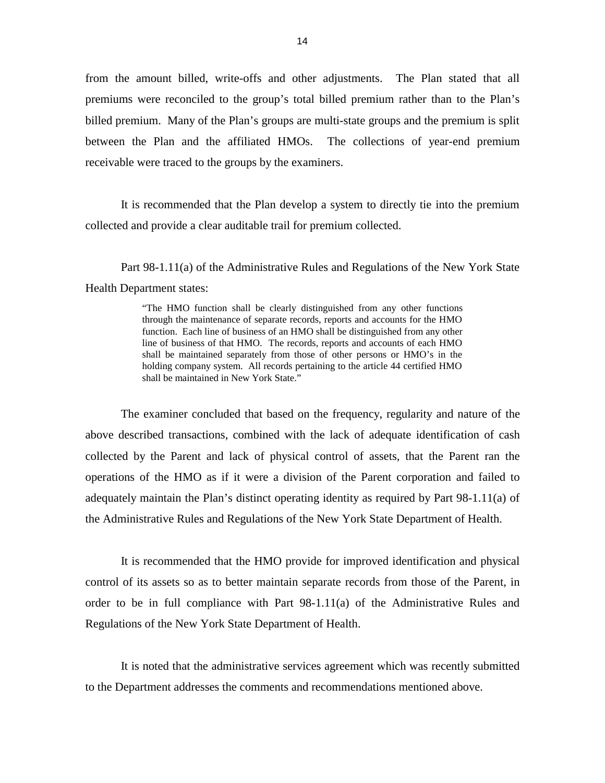from the amount billed, write-offs and other adjustments. The Plan stated that all premiums were reconciled to the group's total billed premium rather than to the Plan's billed premium. Many of the Plan's groups are multi-state groups and the premium is split between the Plan and the affiliated HMOs. The collections of year-end premium receivable were traced to the groups by the examiners.

 It is recommended that the Plan develop a system to directly tie into the premium collected and provide a clear auditable trail for premium collected.

 Part 98-1.11(a) of the Administrative Rules and Regulations of the New York State Health Department states:

> "The HMO function shall be clearly distinguished from any other functions through the maintenance of separate records, reports and accounts for the HMO function. Each line of business of an HMO shall be distinguished from any other line of business of that HMO. The records, reports and accounts of each HMO shall be maintained separately from those of other persons or HMO's in the holding company system. All records pertaining to the article 44 certified HMO shall be maintained in New York State."

 The examiner concluded that based on the frequency, regularity and nature of the above described transactions, combined with the lack of adequate identification of cash collected by the Parent and lack of physical control of assets, that the Parent ran the operations of the HMO as if it were a division of the Parent corporation and failed to adequately maintain the Plan's distinct operating identity as required by Part 98-1.11(a) of the Administrative Rules and Regulations of the New York State Department of Health.

 It is recommended that the HMO provide for improved identification and physical control of its assets so as to better maintain separate records from those of the Parent, in order to be in full compliance with Part 98-1.11(a) of the Administrative Rules and Regulations of the New York State Department of Health.

 It is noted that the administrative services agreement which was recently submitted to the Department addresses the comments and recommendations mentioned above.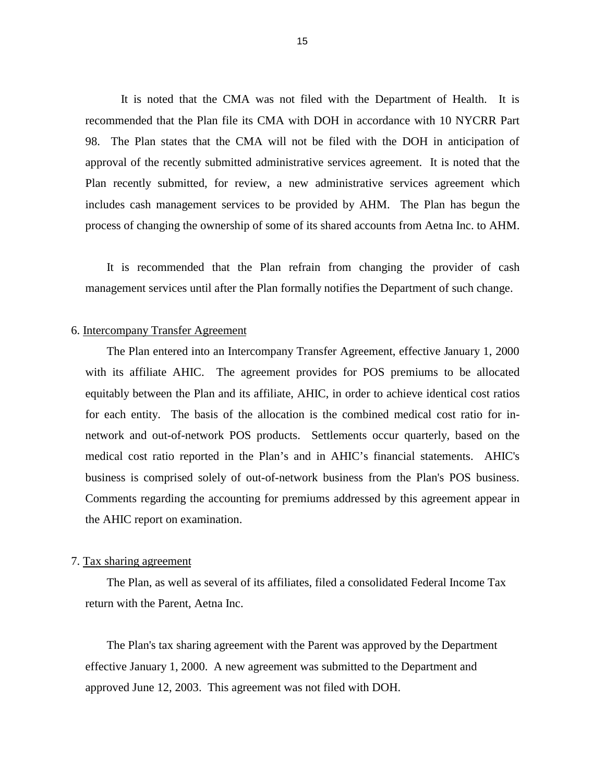It is noted that the CMA was not filed with the Department of Health. It is recommended that the Plan file its CMA with DOH in accordance with 10 NYCRR Part 98. The Plan states that the CMA will not be filed with the DOH in anticipation of approval of the recently submitted administrative services agreement. It is noted that the Plan recently submitted, for review, a new administrative services agreement which includes cash management services to be provided by AHM. The Plan has begun the process of changing the ownership of some of its shared accounts from Aetna Inc. to AHM.

 It is recommended that the Plan refrain from changing the provider of cash management services until after the Plan formally notifies the Department of such change.

#### 6. Intercompany Transfer Agreement

 The Plan entered into an Intercompany Transfer Agreement, effective January 1, 2000 with its affiliate AHIC. The agreement provides for POS premiums to be allocated equitably between the Plan and its affiliate, AHIC, in order to achieve identical cost ratios for each entity. The basis of the allocation is the combined medical cost ratio for in- network and out-of-network POS products. Settlements occur quarterly, based on the medical cost ratio reported in the Plan's and in AHIC's financial statements. AHIC's business is comprised solely of out-of-network business from the Plan's POS business. Comments regarding the accounting for premiums addressed by this agreement appear in the AHIC report on examination.

#### 7. Tax sharing agreement

The Plan, as well as several of its affiliates, filed a consolidated Federal Income Tax return with the Parent, Aetna Inc.

The Plan's tax sharing agreement with the Parent was approved by the Department effective January 1, 2000. A new agreement was submitted to the Department and approved June 12, 2003. This agreement was not filed with DOH.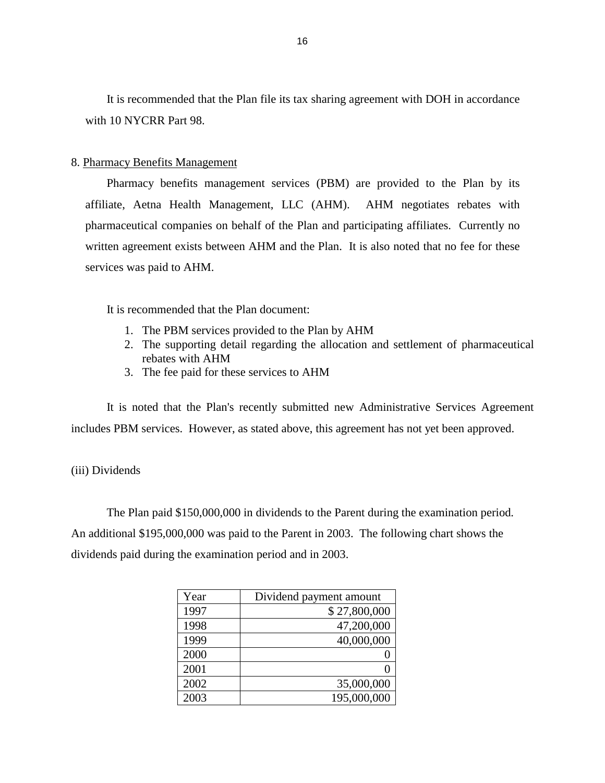It is recommended that the Plan file its tax sharing agreement with DOH in accordance with 10 NYCRR Part 98.

### 8. Pharmacy Benefits Management

 Pharmacy benefits management services (PBM) are provided to the Plan by its affiliate, Aetna Health Management, LLC (AHM). AHM negotiates rebates with pharmaceutical companies on behalf of the Plan and participating affiliates. Currently no written agreement exists between AHM and the Plan. It is also noted that no fee for these services was paid to AHM.

It is recommended that the Plan document:

- 1. The PBM services provided to the Plan by AHM
- 2. The supporting detail regarding the allocation and settlement of pharmaceutical rebates with AHM
- 3. The fee paid for these services to AHM

 It is noted that the Plan's recently submitted new Administrative Services Agreement includes PBM services. However, as stated above, this agreement has not yet been approved.

## (iii) Dividends

The Plan paid \$150,000,000 in dividends to the Parent during the examination period. An additional \$195,000,000 was paid to the Parent in 2003. The following chart shows the dividends paid during the examination period and in 2003.

| Year | Dividend payment amount |
|------|-------------------------|
| 1997 | \$27,800,000            |
| 1998 | 47,200,000              |
| 1999 | 40,000,000              |
| 2000 |                         |
| 2001 |                         |
| 2002 | 35,000,000              |
| 2003 | 195,000,000             |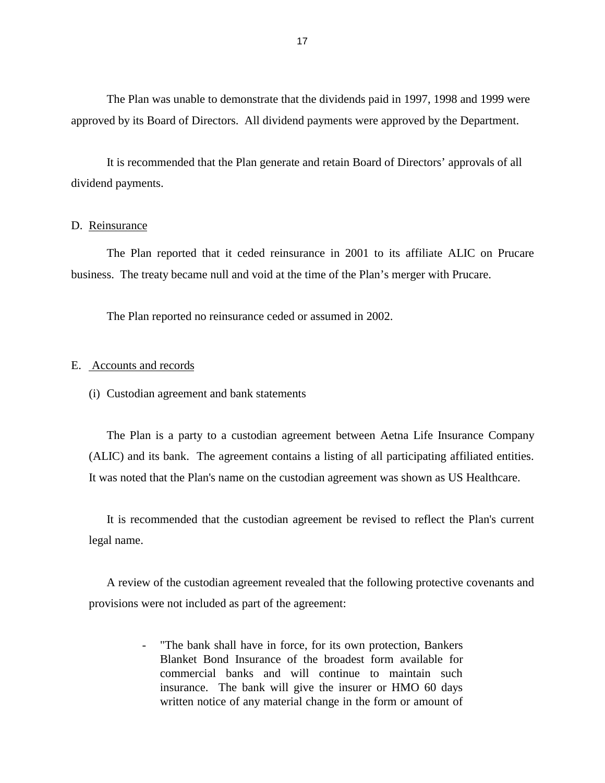<span id="page-18-0"></span>The Plan was unable to demonstrate that the dividends paid in 1997, 1998 and 1999 were approved by its Board of Directors. All dividend payments were approved by the Department.

It is recommended that the Plan generate and retain Board of Directors' approvals of all dividend payments.

## D. Reinsurance

 The Plan reported that it ceded reinsurance in 2001 to its affiliate ALIC on Prucare business. The treaty became null and void at the time of the Plan's merger with Prucare.

The Plan reported no reinsurance ceded or assumed in 2002.

## E. Accounts and records

(i) Custodian agreement and bank statements

 The Plan is a party to a custodian agreement between Aetna Life Insurance Company (ALIC) and its bank. The agreement contains a listing of all participating affiliated entities. It was noted that the Plan's name on the custodian agreement was shown as US Healthcare.

 It is recommended that the custodian agreement be revised to reflect the Plan's current legal name.

 A review of the custodian agreement revealed that the following protective covenants and provisions were not included as part of the agreement:

> - "The bank shall have in force, for its own protection, Bankers Blanket Bond Insurance of the broadest form available for commercial banks and will continue to maintain such insurance. The bank will give the insurer or HMO 60 days written notice of any material change in the form or amount of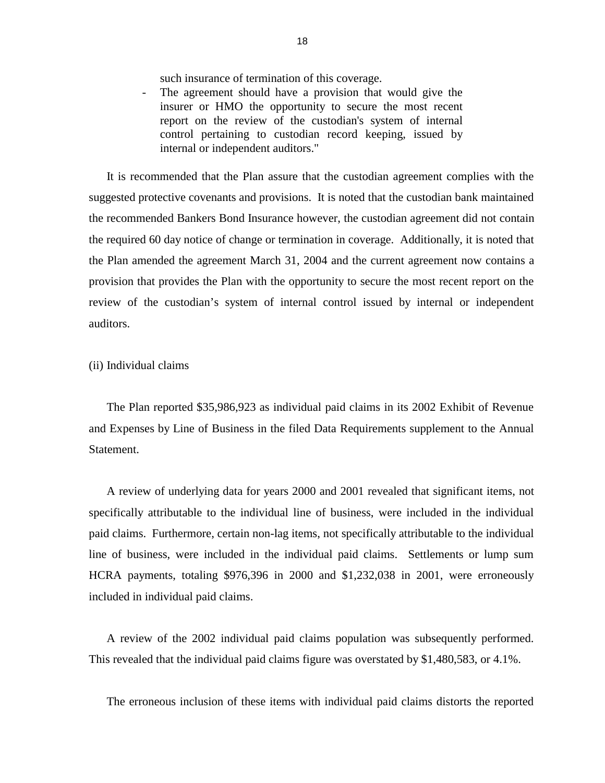such insurance of termination of this coverage.

 - The agreement should have a provision that would give the insurer or HMO the opportunity to secure the most recent report on the review of the custodian's system of internal control pertaining to custodian record keeping, issued by internal or independent auditors."

 It is recommended that the Plan assure that the custodian agreement complies with the suggested protective covenants and provisions. It is noted that the custodian bank maintained the recommended Bankers Bond Insurance however, the custodian agreement did not contain the required 60 day notice of change or termination in coverage. Additionally, it is noted that the Plan amended the agreement March 31, 2004 and the current agreement now contains a provision that provides the Plan with the opportunity to secure the most recent report on the review of the custodian's system of internal control issued by internal or independent auditors.

## (ii) Individual claims

 The Plan reported \$35,986,923 as individual paid claims in its 2002 Exhibit of Revenue and Expenses by Line of Business in the filed Data Requirements supplement to the Annual **Statement** 

 A review of underlying data for years 2000 and 2001 revealed that significant items, not specifically attributable to the individual line of business, were included in the individual paid claims. Furthermore, certain non-lag items, not specifically attributable to the individual line of business, were included in the individual paid claims. Settlements or lump sum HCRA payments, totaling \$976,396 in 2000 and \$1,232,038 in 2001, were erroneously included in individual paid claims.

 A review of the 2002 individual paid claims population was subsequently performed. This revealed that the individual paid claims figure was overstated by \$1,480,583, or 4.1%.

The erroneous inclusion of these items with individual paid claims distorts the reported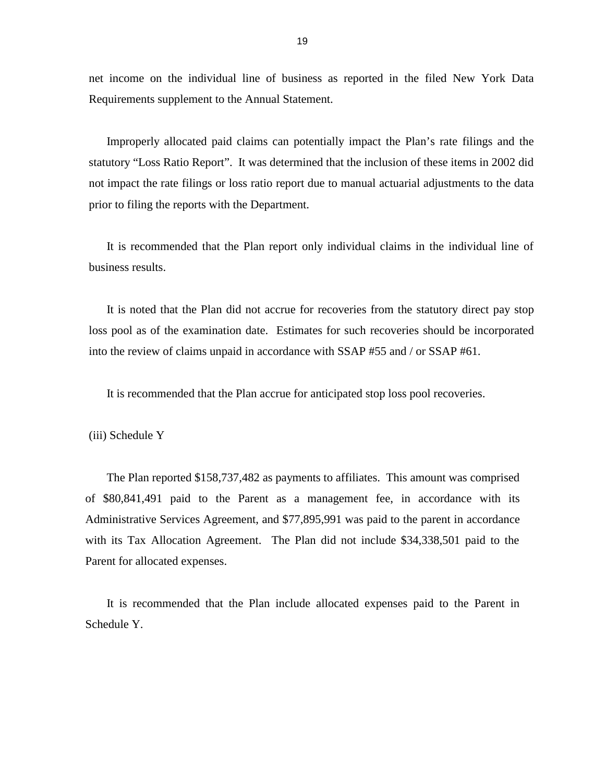net income on the individual line of business as reported in the filed New York Data Requirements supplement to the Annual Statement.

 Improperly allocated paid claims can potentially impact the Plan's rate filings and the not impact the rate filings or loss ratio report due to manual actuarial adjustments to the data statutory "Loss Ratio Report". It was determined that the inclusion of these items in 2002 did prior to filing the reports with the Department.

 It is recommended that the Plan report only individual claims in the individual line of business results.

 It is noted that the Plan did not accrue for recoveries from the statutory direct pay stop loss pool as of the examination date. Estimates for such recoveries should be incorporated into the review of claims unpaid in accordance with SSAP #55 and / or SSAP #61.

It is recommended that the Plan accrue for anticipated stop loss pool recoveries.

(iii) Schedule Y

 of \$80,841,491 paid to the Parent as a management fee, in accordance with its Administrative Services Agreement, and \$77,895,991 was paid to the parent in accordance with its Tax Allocation Agreement. The Plan did not include \$34,338,501 paid to the The Plan reported \$158,737,482 as payments to affiliates. This amount was comprised Parent for allocated expenses.

 It is recommended that the Plan include allocated expenses paid to the Parent in Schedule Y.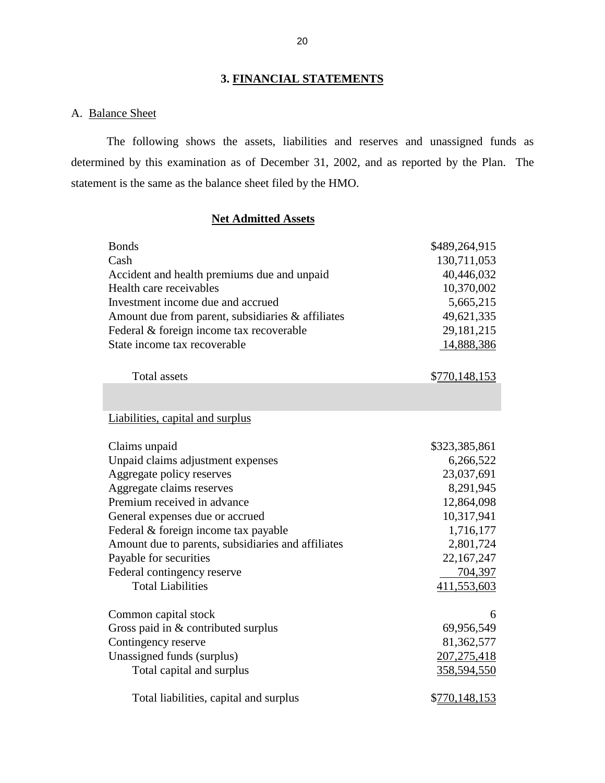## **3. FINANCIAL STATEMENTS**

## A. Balance Sheet

 The following shows the assets, liabilities and reserves and unassigned funds as determined by this examination as of December 31, 2002, and as reported by the Plan. The statement is the same as the balance sheet filed by the HMO.

## **Net Admitted Assets**

| <b>Bonds</b><br>Cash<br>Accident and health premiums due and unpaid<br>Health care receivables<br>Investment income due and accrued<br>Amount due from parent, subsidiaries & affiliates<br>Federal & foreign income tax recoverable | \$489,264,915<br>130,711,053<br>40,446,032<br>10,370,002<br>5,665,215<br>49,621,335<br>29, 181, 215 |
|--------------------------------------------------------------------------------------------------------------------------------------------------------------------------------------------------------------------------------------|-----------------------------------------------------------------------------------------------------|
| State income tax recoverable                                                                                                                                                                                                         | 14,888,386                                                                                          |
| <b>Total assets</b>                                                                                                                                                                                                                  | \$770,148,153                                                                                       |
|                                                                                                                                                                                                                                      |                                                                                                     |
| Liabilities, capital and surplus                                                                                                                                                                                                     |                                                                                                     |
| Claims unpaid                                                                                                                                                                                                                        | \$323,385,861                                                                                       |
| Unpaid claims adjustment expenses                                                                                                                                                                                                    | 6,266,522                                                                                           |
| Aggregate policy reserves                                                                                                                                                                                                            | 23,037,691                                                                                          |
| Aggregate claims reserves                                                                                                                                                                                                            | 8,291,945                                                                                           |
| Premium received in advance                                                                                                                                                                                                          | 12,864,098                                                                                          |
| General expenses due or accrued                                                                                                                                                                                                      | 10,317,941                                                                                          |
| Federal & foreign income tax payable                                                                                                                                                                                                 | 1,716,177                                                                                           |
| Amount due to parents, subsidiaries and affiliates                                                                                                                                                                                   | 2,801,724                                                                                           |
| Payable for securities                                                                                                                                                                                                               | 22,167,247                                                                                          |
| Federal contingency reserve                                                                                                                                                                                                          | 704,397                                                                                             |
| <b>Total Liabilities</b>                                                                                                                                                                                                             | 411,553,603                                                                                         |
| Common capital stock                                                                                                                                                                                                                 | 6                                                                                                   |
| Gross paid in & contributed surplus                                                                                                                                                                                                  | 69,956,549                                                                                          |
| Contingency reserve                                                                                                                                                                                                                  | 81,362,577                                                                                          |
| Unassigned funds (surplus)                                                                                                                                                                                                           | 207, 275, 418                                                                                       |
| Total capital and surplus                                                                                                                                                                                                            | 358,594,550                                                                                         |
| Total liabilities, capital and surplus                                                                                                                                                                                               | \$770,148,153                                                                                       |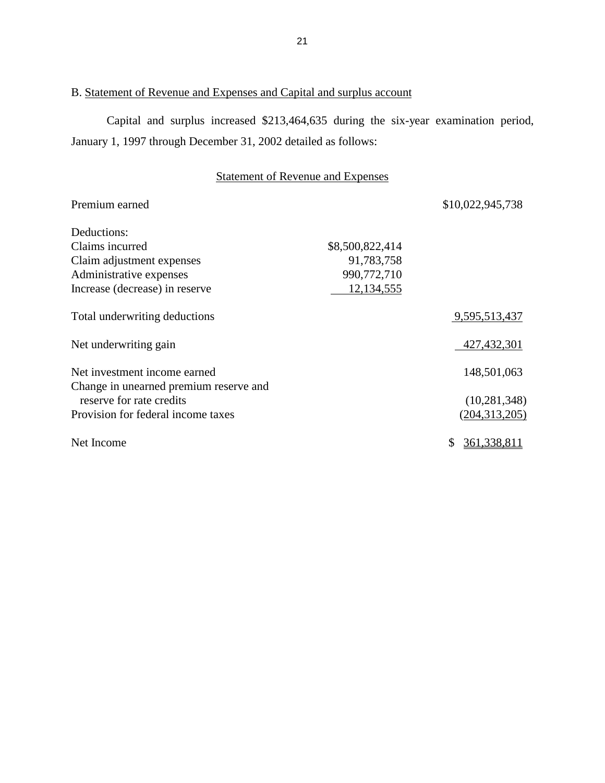## B. Statement of Revenue and Expenses and Capital and surplus account

 Capital and surplus increased \$213,464,635 during the six-year examination period, January 1, 1997 through December 31, 2002 detailed as follows:

# Statement of Revenue and Expenses

| Premium earned                         |                 | \$10,022,945,738 |
|----------------------------------------|-----------------|------------------|
| Deductions:                            |                 |                  |
| Claims incurred                        | \$8,500,822,414 |                  |
| Claim adjustment expenses              | 91,783,758      |                  |
| Administrative expenses                | 990,772,710     |                  |
| Increase (decrease) in reserve         | 12,134,555      |                  |
| Total underwriting deductions          |                 | 9,595,513,437    |
| Net underwriting gain                  |                 | 427, 432, 301    |
| Net investment income earned           |                 | 148,501,063      |
| Change in unearned premium reserve and |                 |                  |
| reserve for rate credits               |                 | (10, 281, 348)   |
| Provision for federal income taxes     |                 | (204, 313, 205)  |
| Net Income                             |                 | 361, 338, 811    |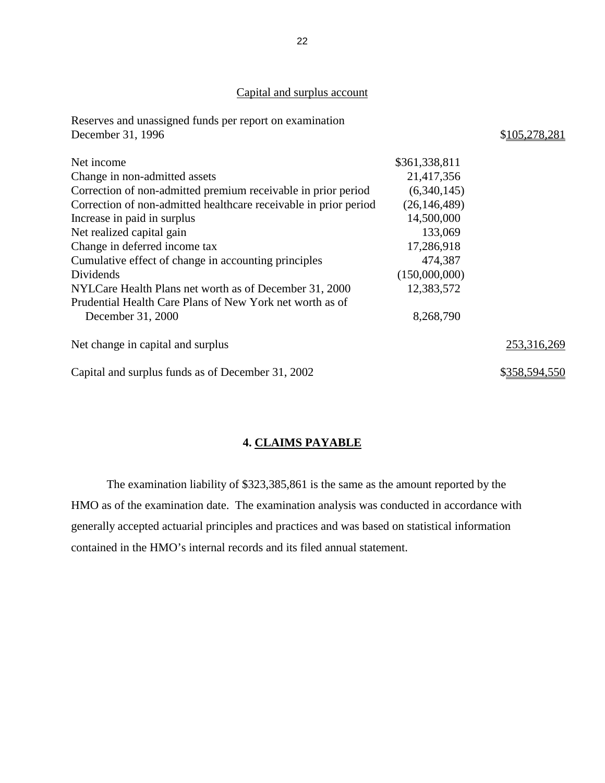## Capital and surplus account

<span id="page-23-0"></span>

| Reserves and unassigned funds per report on examination          |                |               |
|------------------------------------------------------------------|----------------|---------------|
| December 31, 1996                                                |                | \$105,278,281 |
| Net income                                                       | \$361,338,811  |               |
| Change in non-admitted assets                                    | 21,417,356     |               |
| Correction of non-admitted premium receivable in prior period    | (6,340,145)    |               |
| Correction of non-admitted healthcare receivable in prior period | (26, 146, 489) |               |
| Increase in paid in surplus                                      | 14,500,000     |               |
| Net realized capital gain                                        | 133,069        |               |
| Change in deferred income tax                                    | 17,286,918     |               |
| Cumulative effect of change in accounting principles             | 474,387        |               |
| Dividends                                                        | (150,000,000)  |               |
| NYLCare Health Plans net worth as of December 31, 2000           | 12,383,572     |               |
| Prudential Health Care Plans of New York net worth as of         |                |               |
| December 31, 2000                                                | 8,268,790      |               |
| Net change in capital and surplus                                |                | 253,316,269   |
| Capital and surplus funds as of December 31, 2002                |                | \$358,594,550 |

# **4. CLAIMS PAYABLE**

The examination liability of \$323,385,861 is the same as the amount reported by the HMO as of the examination date. The examination analysis was conducted in accordance with generally accepted actuarial principles and practices and was based on statistical information contained in the HMO's internal records and its filed annual statement.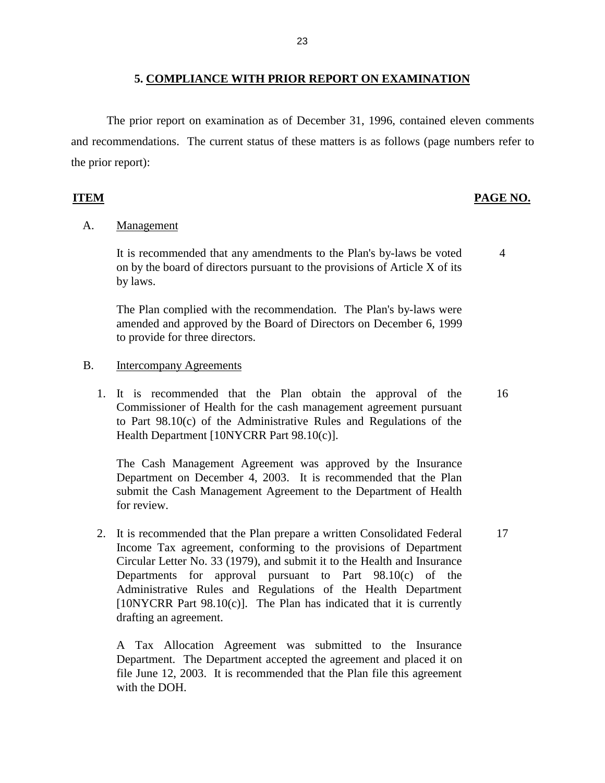The prior report on examination as of December 31, 1996, contained eleven comments and recommendations. The current status of these matters is as follows (page numbers refer to the prior report):

## **ITEM PAGE NO.**

## A. Management

 It is recommended that any amendments to the Plan's by-laws be voted on by the board of directors pursuant to the provisions of Article X of its by laws. 4

 The Plan complied with the recommendation. The Plan's by-laws were amended and approved by the Board of Directors on December 6, 1999 to provide for three directors.

- B. Intercompany Agreements
	- 1. It is recommended that the Plan obtain the approval of the Commissioner of Health for the cash management agreement pursuant to Part 98.10(c) of the Administrative Rules and Regulations of the Health Department [10NYCRR Part 98.10(c)]. 16

 The Cash Management Agreement was approved by the Insurance Department on December 4, 2003. It is recommended that the Plan submit the Cash Management Agreement to the Department of Health for review.

 2. It is recommended that the Plan prepare a written Consolidated Federal Income Tax agreement, conforming to the provisions of Department Circular Letter No. 33 (1979), and submit it to the Health and Insurance Departments for approval pursuant to Part 98.10(c) of the Administrative Rules and Regulations of the Health Department [10NYCRR Part 98.10(c)]. The Plan has indicated that it is currently drafting an agreement. 17

 A Tax Allocation Agreement was submitted to the Insurance Department. The Department accepted the agreement and placed it on file June 12, 2003. It is recommended that the Plan file this agreement with the DOH.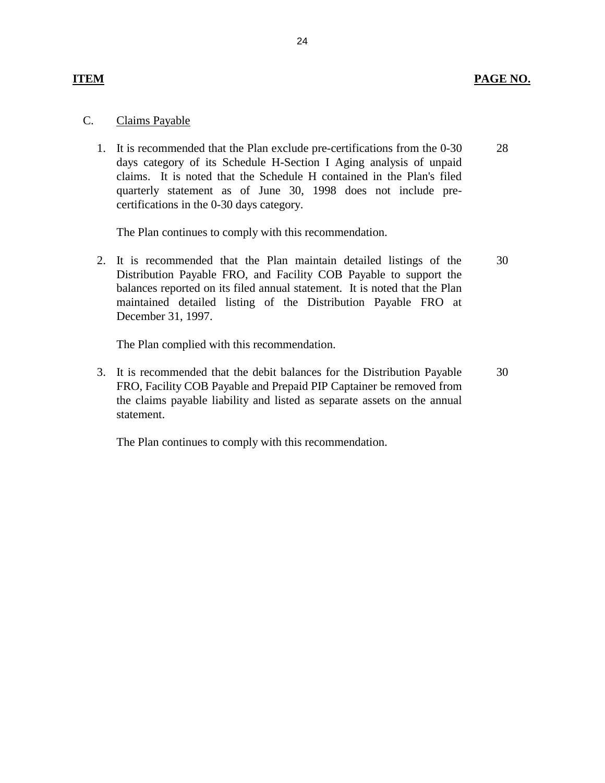## **ITEM PAGE NO.**

## C. Claims Payable

 1. It is recommended that the Plan exclude pre-certifications from the 0-30 days category of its Schedule H-Section I Aging analysis of unpaid claims. It is noted that the Schedule H contained in the Plan's filed quarterly statement as of June 30, 1998 does not include precertifications in the 0-30 days category. 28

The Plan continues to comply with this recommendation.

 2. It is recommended that the Plan maintain detailed listings of the Distribution Payable FRO, and Facility COB Payable to support the balances reported on its filed annual statement. It is noted that the Plan maintained detailed listing of the Distribution Payable FRO at December 31, 1997. 30

The Plan complied with this recommendation.

 3. It is recommended that the debit balances for the Distribution Payable FRO, Facility COB Payable and Prepaid PIP Captainer be removed from the claims payable liability and listed as separate assets on the annual statement. 30

The Plan continues to comply with this recommendation.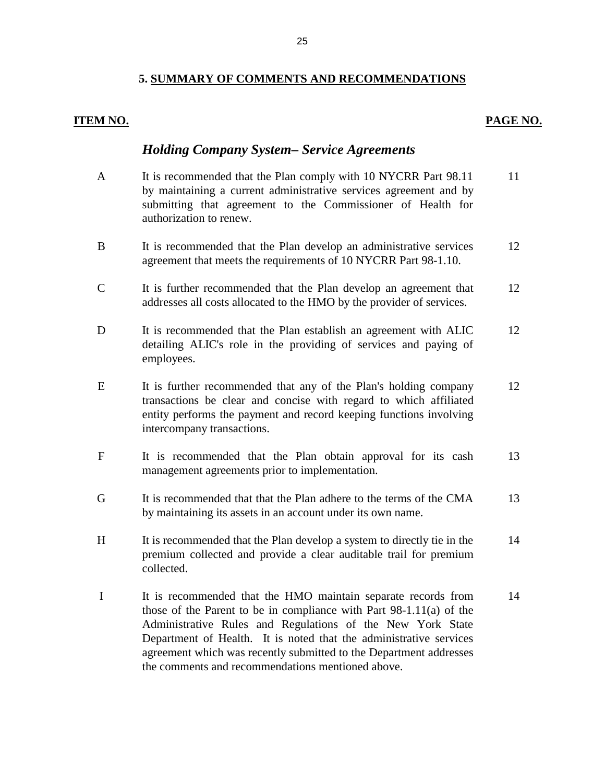#### 25

## **5. SUMMARY OF COMMENTS AND RECOMMENDATIONS**

## **ITEM NO.**

## **PAGE NO.**

## *Holding Company System– Service Agreements*

- A It is recommended that the Plan comply with 10 NYCRR Part 98.11 by maintaining a current administrative services agreement and by submitting that agreement to the Commissioner of Health for B It is recommended that the Plan develop an administrative services authorization to renew. 11 12
- C It is further recommended that the Plan develop an agreement that agreement that meets the requirements of 10 NYCRR Part 98-1.10. 12
- addresses all costs allocated to the HMO by the provider of services.
- D It is recommended that the Plan establish an agreement with ALIC detailing ALIC's role in the providing of services and paying of employees. 12
- E It is further recommended that any of the Plan's holding company transactions be clear and concise with regard to which affiliated entity performs the payment and record keeping functions involving intercompany transactions. 12
- F It is recommended that the Plan obtain approval for its cash management agreements prior to implementation. 13
- G It is recommended that that the Plan adhere to the terms of the CMA by maintaining its assets in an account under its own name. 13
- H It is recommended that the Plan develop a system to directly tie in the premium collected and provide a clear auditable trail for premium collected. 14
- I It is recommended that the HMO maintain separate records from those of the Parent to be in compliance with Part 98-1.11(a) of the Administrative Rules and Regulations of the New York State Department of Health. It is noted that the administrative services agreement which was recently submitted to the Department addresses the comments and recommendations mentioned above. 14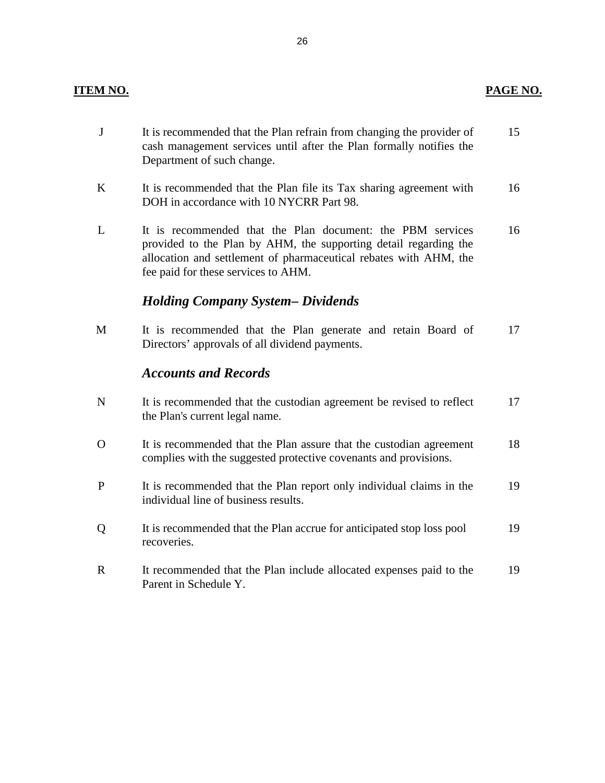# **ITEM NO.**

| $\mathbf J$  | It is recommended that the Plan refrain from changing the provider of<br>cash management services until after the Plan formally notifies the<br>Department of such change.                                                                 | 15 |
|--------------|--------------------------------------------------------------------------------------------------------------------------------------------------------------------------------------------------------------------------------------------|----|
| $\bf K$      | It is recommended that the Plan file its Tax sharing agreement with<br>DOH in accordance with 10 NYCRR Part 98.                                                                                                                            | 16 |
| L            | It is recommended that the Plan document: the PBM services<br>provided to the Plan by AHM, the supporting detail regarding the<br>allocation and settlement of pharmaceutical rebates with AHM, the<br>fee paid for these services to AHM. | 16 |
|              | <b>Holding Company System– Dividends</b>                                                                                                                                                                                                   |    |
| M            | It is recommended that the Plan generate and retain Board of<br>Directors' approvals of all dividend payments.                                                                                                                             | 17 |
|              |                                                                                                                                                                                                                                            |    |
|              | <b>Accounts and Records</b>                                                                                                                                                                                                                |    |
| $\mathbf N$  | It is recommended that the custodian agreement be revised to reflect<br>the Plan's current legal name.                                                                                                                                     | 17 |
| $\mathbf{O}$ | It is recommended that the Plan assure that the custodian agreement<br>complies with the suggested protective covenants and provisions.                                                                                                    | 18 |
| P            | It is recommended that the Plan report only individual claims in the<br>individual line of business results.                                                                                                                               | 19 |
| Q            | It is recommended that the Plan accrue for anticipated stop loss pool<br>recoveries.                                                                                                                                                       | 19 |